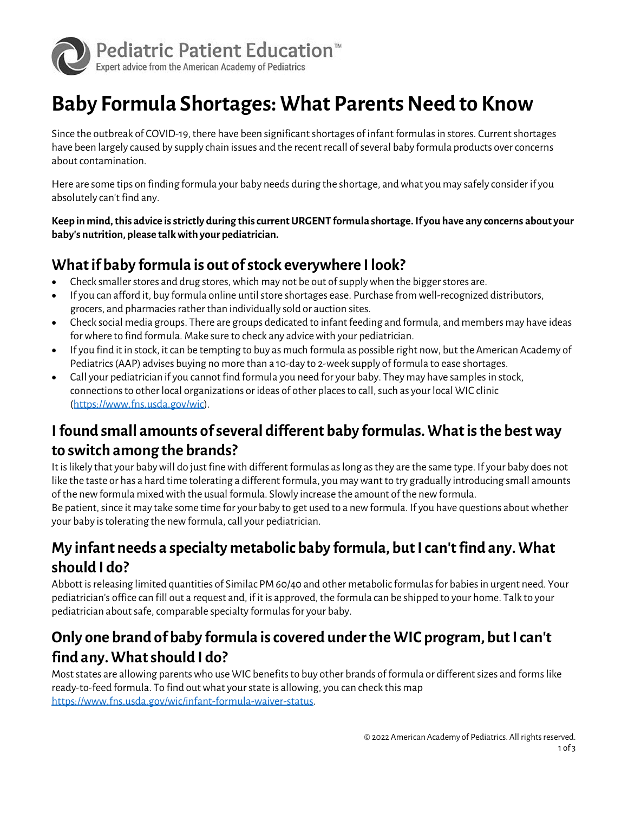

# **Baby Formula Shortages: What Parents Need to Know**

Since the outbreak of COVID-19, there have been significant shortages of infant formulas in stores. Current shortages have been largely caused by supply chain issues and the recent recall of several baby formula products over concerns about contamination.

Here are some tips on finding formula your baby needs during the shortage, and what you may safely consider if you absolutely can't find any.

**Keep in mind, this advice is strictly during this current URGENT formula shortage. If you have any concerns about your baby's nutrition, please talk with your pediatrician.**

#### **What if baby formula is out of stock everywhere I look?**

- Check smaller stores and drug stores, which may not be out of supply when the bigger stores are.
- If you can afford it, buy formula online until store shortages ease. Purchase from well-recognized distributors, grocers, and pharmacies rather than individually sold or auction sites.
- Check social media groups. There are groups dedicated to infant feeding and formula, and members may have ideas for where to find formula. Make sure to check any advice with your pediatrician.
- If you find it in stock, it can be tempting to buy as much formula as possible right now, but the American Academy of Pediatrics (AAP) advises buying no more than a 10-day to 2-week supply of formula to ease shortages.
- Call your pediatrician if you cannot find formula you need for your baby. They may have samples in stock, connections to other local organizations or ideas of other places to call, such as your local WIC clinic [\(https://www.fns.usda.gov/wic\)](https://www.fns.usda.gov/wic).

#### **I found small amounts of several different baby formulas. What is the best way to switch among the brands?**

It is likely that your baby will do just fine with different formulas as long as they are the same type. If your baby does not like the taste or has a hard time tolerating a different formula, you may want to try gradually introducing small amounts of the new formula mixed with the usual formula. Slowly increase the amount of the new formula.

Be patient, since it may take some time for your baby to get used to a new formula. If you have questions about whether your baby is tolerating the new formula, call your pediatrician.

### **My infant needs a specialty metabolic baby formula, but I can't find any. What should I do?**

Abbott is releasing limited quantities of Similac PM 60/40 and other metabolic formulas for babies in urgent need. Your pediatrician's office can fill out a request and, if it is approved, the formula can be shipped to your home. Talk to your pediatrician about safe, comparable specialty formulas for your baby.

#### **Only one brand of baby formula is covered under the WIC program, but I can't find any. What should I do?**

Most states are allowing parents who use WIC benefits to buy other brands of formula or different sizes and forms like ready-to-feed formula. To find out what your state is allowing, you can check this map [https://www.fns.usda.gov/wic/infant-formula-waiver-status.](https://www.fns.usda.gov/wic/infant-formula-waiver-status)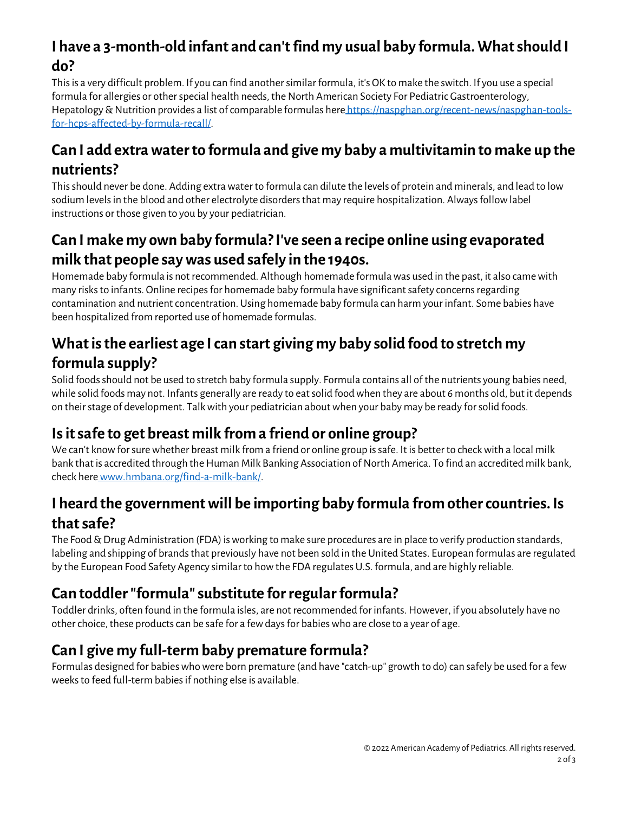### **I have a 3-month-old infant and can't find my usual baby formula. What should I do?**

This is a very difficult problem. If you can find another similar formula, it's OK to make the switch. If you use a special formula for allergies or other special health needs, the North American Society For Pediatric Gastroenterology, Hepatology & Nutrition provides a list of comparable formulas here [https://naspghan.org/recent-news/naspghan-tools](https://naspghan.org/recent-news/naspghan-tools-for-hcps-affected-by-formula-recall/)[for-hcps-affected-by-formula-recall/.](https://naspghan.org/recent-news/naspghan-tools-for-hcps-affected-by-formula-recall/) 

#### **Can I add extra water to formula and give my baby a multivitamin to make up the nutrients?**

This should never be done. Adding extra water to formula can dilute the levels of protein and minerals, and lead to low sodium levels in the blood and other electrolyte disorders that may require hospitalization. Always follow label instructions or those given to you by your pediatrician.

### **Can I make my own baby formula? I've seen a recipe online using evaporated milk that people say was used safely in the 1940s.**

Homemade baby formula is not recommended. Although homemade formula was used in the past, it also came with many risks to infants. Online recipes for homemade baby formula have significant safety concerns regarding contamination and nutrient concentration. Using homemade baby formula can harm your infant. Some babies have been hospitalized from reported use of homemade formulas.

#### **What is the earliest age I can start giving my baby solid food to stretch my formula supply?**

Solid foods should not be used to stretch baby formula supply. Formula contains all of the nutrients young babies need, while solid foods may not. Infants generally are ready to eat solid food when they are about 6 months old, but it depends on their stage of development. Talk with your pediatrician about when your baby may be ready for solid foods.

# **Is it safe to get breast milk from a friend or online group?**

We can't know for sure whether breast milk from a friend or online group is safe. It is better to check with a local milk bank that is accredited through the Human Milk Banking Association of North America. To find an accredited milk bank, check herewww.hmbana.org/find-a-milk-bank/.

#### **I heard the government will be importing baby formula from other countries. Is that safe?**

The Food & Drug Administration (FDA) is working to make sure procedures are in place to verify production standards, labeling and shipping of brands that previously have not been sold in the United States. European formulas are regulated by the European Food Safety Agency similar to how the FDA regulates U.S. formula, and are highly reliable.

### **Can toddler "formula" substitute for regular formula?**

Toddler drinks, often found in the formula isles, are not recommended for infants. However, if you absolutely have no other choice, these products can be safe for a few days for babies who are close to a year of age.

### **Can I give my full-term baby premature formula?**

Formulas designed for babies who were born premature (and have "catch-up" growth to do) can safely be used for a few weeks to feed full-term babies if nothing else is available.